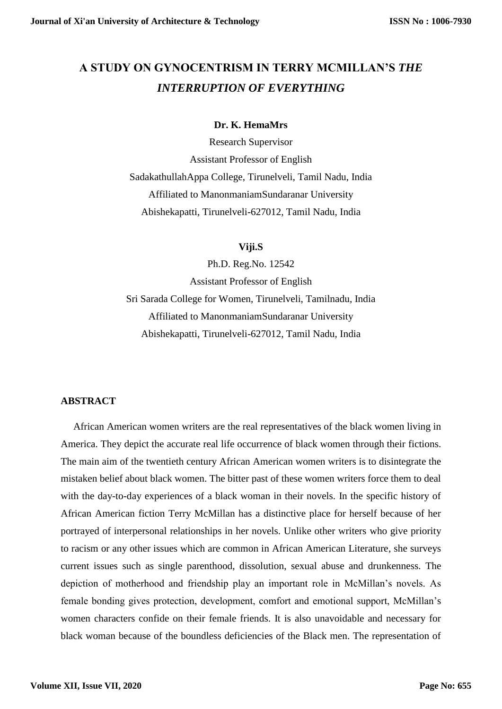## **A STUDY ON GYNOCENTRISM IN TERRY MCMILLAN'S** *THE INTERRUPTION OF EVERYTHING*

## **Dr. K. HemaMrs**

Research Supervisor Assistant Professor of English SadakathullahAppa College, Tirunelveli, Tamil Nadu, India Affiliated to ManonmaniamSundaranar University Abishekapatti, Tirunelveli-627012, Tamil Nadu, India

**Viji.S**

Ph.D. Reg.No. 12542 Assistant Professor of English Sri Sarada College for Women, Tirunelveli, Tamilnadu, India Affiliated to ManonmaniamSundaranar University Abishekapatti, Tirunelveli-627012, Tamil Nadu, India

## **ABSTRACT**

 African American women writers are the real representatives of the black women living in America. They depict the accurate real life occurrence of black women through their fictions. The main aim of the twentieth century African American women writers is to disintegrate the mistaken belief about black women. The bitter past of these women writers force them to deal with the day-to-day experiences of a black woman in their novels. In the specific history of African American fiction Terry McMillan has a distinctive place for herself because of her portrayed of interpersonal relationships in her novels. Unlike other writers who give priority to racism or any other issues which are common in African American Literature, she surveys current issues such as single parenthood, dissolution, sexual abuse and drunkenness. The depiction of motherhood and friendship play an important role in McMillan's novels. As female bonding gives protection, development, comfort and emotional support, McMillan's women characters confide on their female friends. It is also unavoidable and necessary for black woman because of the boundless deficiencies of the Black men. The representation of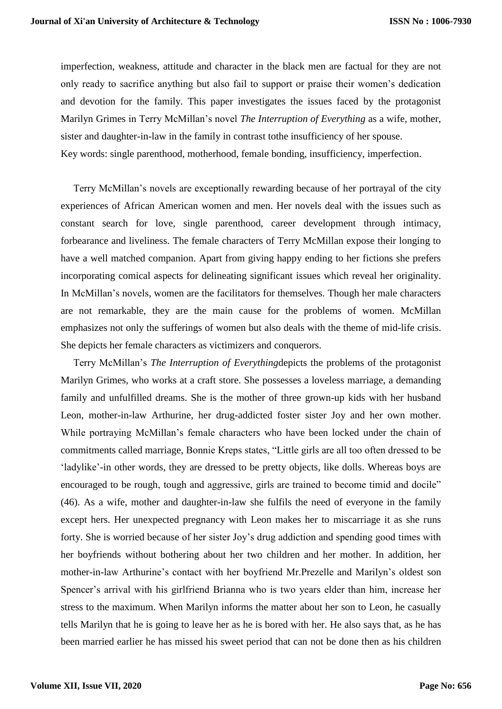imperfection, weakness, attitude and character in the black men are factual for they are not only ready to sacrifice anything but also fail to support or praise their women's dedication and devotion for the family. This paper investigates the issues faced by the protagonist Marilyn Grimes in Terry McMillan's novel *The Interruption of Everything* as a wife, mother, sister and daughter-in-law in the family in contrast tothe insufficiency of her spouse. Key words: single parenthood, motherhood, female bonding, insufficiency, imperfection.

 Terry McMillan's novels are exceptionally rewarding because of her portrayal of the city experiences of African American women and men. Her novels deal with the issues such as constant search for love, single parenthood, career development through intimacy, forbearance and liveliness. The female characters of Terry McMillan expose their longing to have a well matched companion. Apart from giving happy ending to her fictions she prefers incorporating comical aspects for delineating significant issues which reveal her originality. In McMillan's novels, women are the facilitators for themselves. Though her male characters are not remarkable, they are the main cause for the problems of women. McMillan emphasizes not only the sufferings of women but also deals with the theme of mid-life crisis. She depicts her female characters as victimizers and conquerors.

 Terry McMillan's *The Interruption of Everything*depicts the problems of the protagonist Marilyn Grimes, who works at a craft store. She possesses a loveless marriage, a demanding family and unfulfilled dreams. She is the mother of three grown-up kids with her husband Leon, mother-in-law Arthurine, her drug-addicted foster sister Joy and her own mother. While portraying McMillan's female characters who have been locked under the chain of commitments called marriage, Bonnie Kreps states, "Little girls are all too often dressed to be 'ladylike'-in other words, they are dressed to be pretty objects, like dolls. Whereas boys are encouraged to be rough, tough and aggressive, girls are trained to become timid and docile" (46). As a wife, mother and daughter-in-law she fulfils the need of everyone in the family except hers. Her unexpected pregnancy with Leon makes her to miscarriage it as she runs forty. She is worried because of her sister Joy's drug addiction and spending good times with her boyfriends without bothering about her two children and her mother. In addition, her mother-in-law Arthurine's contact with her boyfriend Mr.Prezelle and Marilyn's oldest son Spencer's arrival with his girlfriend Brianna who is two years elder than him, increase her stress to the maximum. When Marilyn informs the matter about her son to Leon, he casually tells Marilyn that he is going to leave her as he is bored with her. He also says that, as he has been married earlier he has missed his sweet period that can not be done then as his children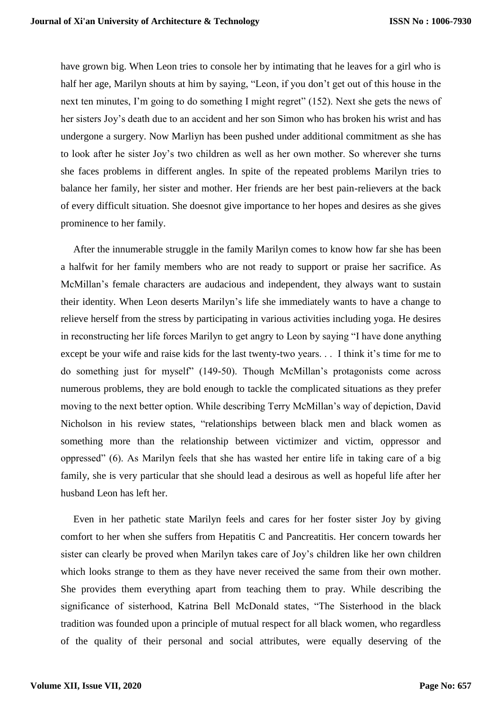have grown big. When Leon tries to console her by intimating that he leaves for a girl who is half her age, Marilyn shouts at him by saying, "Leon, if you don't get out of this house in the next ten minutes, I'm going to do something I might regret" (152). Next she gets the news of her sisters Joy's death due to an accident and her son Simon who has broken his wrist and has undergone a surgery. Now Marliyn has been pushed under additional commitment as she has to look after he sister Joy's two children as well as her own mother. So wherever she turns she faces problems in different angles. In spite of the repeated problems Marilyn tries to balance her family, her sister and mother. Her friends are her best pain-relievers at the back of every difficult situation. She doesnot give importance to her hopes and desires as she gives prominence to her family.

 After the innumerable struggle in the family Marilyn comes to know how far she has been a halfwit for her family members who are not ready to support or praise her sacrifice. As McMillan's female characters are audacious and independent, they always want to sustain their identity. When Leon deserts Marilyn's life she immediately wants to have a change to relieve herself from the stress by participating in various activities including yoga. He desires in reconstructing her life forces Marilyn to get angry to Leon by saying "I have done anything except be your wife and raise kids for the last twenty-two years. . . I think it's time for me to do something just for myself" (149-50). Though McMillan's protagonists come across numerous problems, they are bold enough to tackle the complicated situations as they prefer moving to the next better option. While describing Terry McMillan's way of depiction, David Nicholson in his review states, "relationships between black men and black women as something more than the relationship between victimizer and victim, oppressor and oppressed" (6). As Marilyn feels that she has wasted her entire life in taking care of a big family, she is very particular that she should lead a desirous as well as hopeful life after her husband Leon has left her.

 Even in her pathetic state Marilyn feels and cares for her foster sister Joy by giving comfort to her when she suffers from Hepatitis C and Pancreatitis. Her concern towards her sister can clearly be proved when Marilyn takes care of Joy's children like her own children which looks strange to them as they have never received the same from their own mother. She provides them everything apart from teaching them to pray. While describing the significance of sisterhood, Katrina Bell McDonald states, "The Sisterhood in the black tradition was founded upon a principle of mutual respect for all black women, who regardless of the quality of their personal and social attributes, were equally deserving of the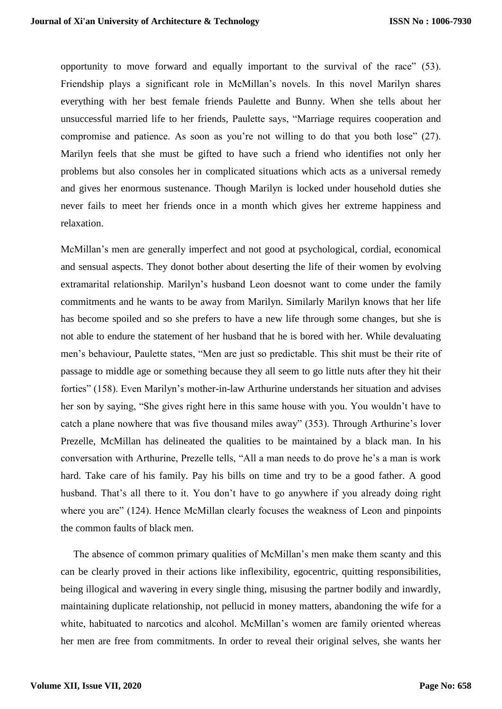opportunity to move forward and equally important to the survival of the race" (53). Friendship plays a significant role in McMillan's novels. In this novel Marilyn shares everything with her best female friends Paulette and Bunny. When she tells about her unsuccessful married life to her friends, Paulette says, "Marriage requires cooperation and compromise and patience. As soon as you're not willing to do that you both lose" (27). Marilyn feels that she must be gifted to have such a friend who identifies not only her problems but also consoles her in complicated situations which acts as a universal remedy and gives her enormous sustenance. Though Marilyn is locked under household duties she never fails to meet her friends once in a month which gives her extreme happiness and relaxation.

McMillan's men are generally imperfect and not good at psychological, cordial, economical and sensual aspects. They donot bother about deserting the life of their women by evolving extramarital relationship. Marilyn's husband Leon doesnot want to come under the family commitments and he wants to be away from Marilyn. Similarly Marilyn knows that her life has become spoiled and so she prefers to have a new life through some changes, but she is not able to endure the statement of her husband that he is bored with her. While devaluating men's behaviour, Paulette states, "Men are just so predictable. This shit must be their rite of passage to middle age or something because they all seem to go little nuts after they hit their forties" (158). Even Marilyn's mother-in-law Arthurine understands her situation and advises her son by saying, "She gives right here in this same house with you. You wouldn't have to catch a plane nowhere that was five thousand miles away" (353). Through Arthurine's lover Prezelle, McMillan has delineated the qualities to be maintained by a black man. In his conversation with Arthurine, Prezelle tells, "All a man needs to do prove he's a man is work hard. Take care of his family. Pay his bills on time and try to be a good father. A good husband. That's all there to it. You don't have to go anywhere if you already doing right where you are" (124). Hence McMillan clearly focuses the weakness of Leon and pinpoints the common faults of black men.

 The absence of common primary qualities of McMillan's men make them scanty and this can be clearly proved in their actions like inflexibility, egocentric, quitting responsibilities, being illogical and wavering in every single thing, misusing the partner bodily and inwardly, maintaining duplicate relationship, not pellucid in money matters, abandoning the wife for a white, habituated to narcotics and alcohol. McMillan's women are family oriented whereas her men are free from commitments. In order to reveal their original selves, she wants her